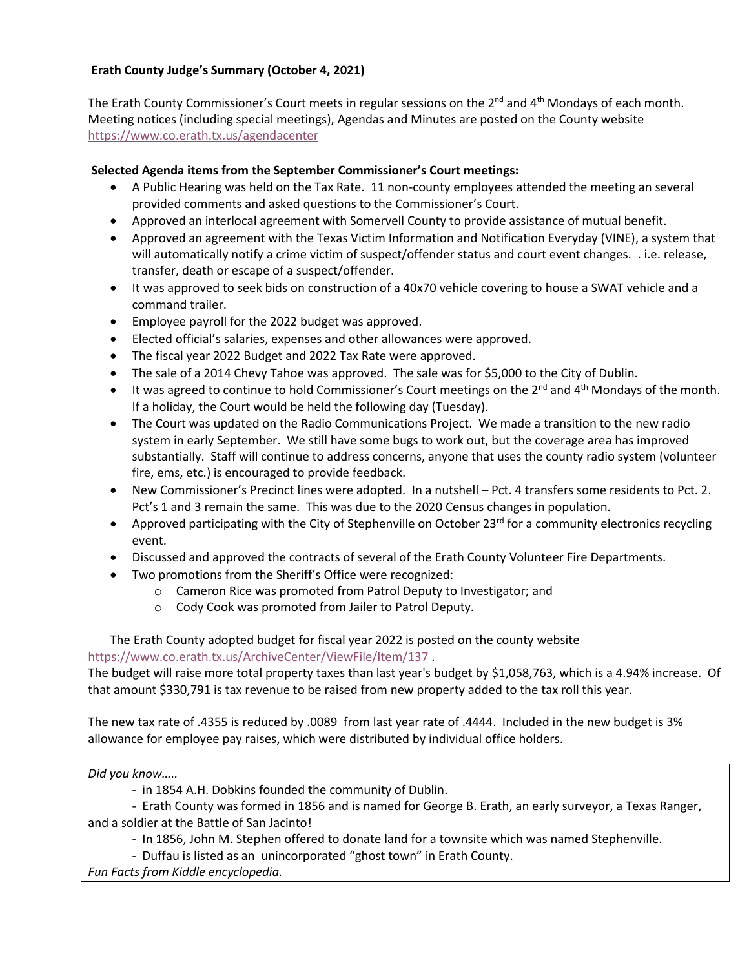## **Erath County Judge's Summary (October 4, 2021)**

The Erath County Commissioner's Court meets in regular sessions on the  $2^{nd}$  and  $4^{th}$  Mondays of each month. Meeting notices (including special meetings), Agendas and Minutes are posted on the County website <https://www.co.erath.tx.us/agendacenter>

## **Selected Agenda items from the September Commissioner's Court meetings:**

- A Public Hearing was held on the Tax Rate. 11 non-county employees attended the meeting an several provided comments and asked questions to the Commissioner's Court.
- Approved an interlocal agreement with Somervell County to provide assistance of mutual benefit.
- Approved an agreement with the Texas Victim Information and Notification Everyday (VINE), a system that will automatically notify a crime victim of suspect/offender status and court event changes. . i.e. release, transfer, death or escape of a suspect/offender.
- It was approved to seek bids on construction of a 40x70 vehicle covering to house a SWAT vehicle and a command trailer.
- Employee payroll for the 2022 budget was approved.
- Elected official's salaries, expenses and other allowances were approved.
- The fiscal year 2022 Budget and 2022 Tax Rate were approved.
- The sale of a 2014 Chevy Tahoe was approved. The sale was for \$5,000 to the City of Dublin.
- It was agreed to continue to hold Commissioner's Court meetings on the  $2^{nd}$  and  $4^{th}$  Mondays of the month. If a holiday, the Court would be held the following day (Tuesday).
- The Court was updated on the Radio Communications Project. We made a transition to the new radio system in early September. We still have some bugs to work out, but the coverage area has improved substantially. Staff will continue to address concerns, anyone that uses the county radio system (volunteer fire, ems, etc.) is encouraged to provide feedback.
- New Commissioner's Precinct lines were adopted. In a nutshell Pct. 4 transfers some residents to Pct. 2. Pct's 1 and 3 remain the same. This was due to the 2020 Census changes in population.
- Approved participating with the City of Stephenville on October 23<sup>rd</sup> for a community electronics recycling event.
- Discussed and approved the contracts of several of the Erath County Volunteer Fire Departments.
- Two promotions from the Sheriff's Office were recognized:
	- o Cameron Rice was promoted from Patrol Deputy to Investigator; and
	- o Cody Cook was promoted from Jailer to Patrol Deputy.

The Erath County adopted budget for fiscal year 2022 is posted on the county website <https://www.co.erath.tx.us/ArchiveCenter/ViewFile/Item/137> .

The budget will raise more total property taxes than last year's budget by \$1,058,763, which is a 4.94% increase. Of that amount \$330,791 is tax revenue to be raised from new property added to the tax roll this year.

The new tax rate of .4355 is reduced by .0089 from last year rate of .4444. Included in the new budget is 3% allowance for employee pay raises, which were distributed by individual office holders.

*Did you know…..*

- in 1854 A.H. Dobkins founded the community of Dublin.

- Erath County was formed in 1856 and is named for George B. Erath, an early surveyor, a Texas Ranger, and a soldier at the Battle of San Jacinto!

- In 1856, John M. Stephen offered to donate land for a townsite which was named Stephenville.

- Duffau is listed as an unincorporated "ghost town" in Erath County.

*Fun Facts from Kiddle encyclopedia.*